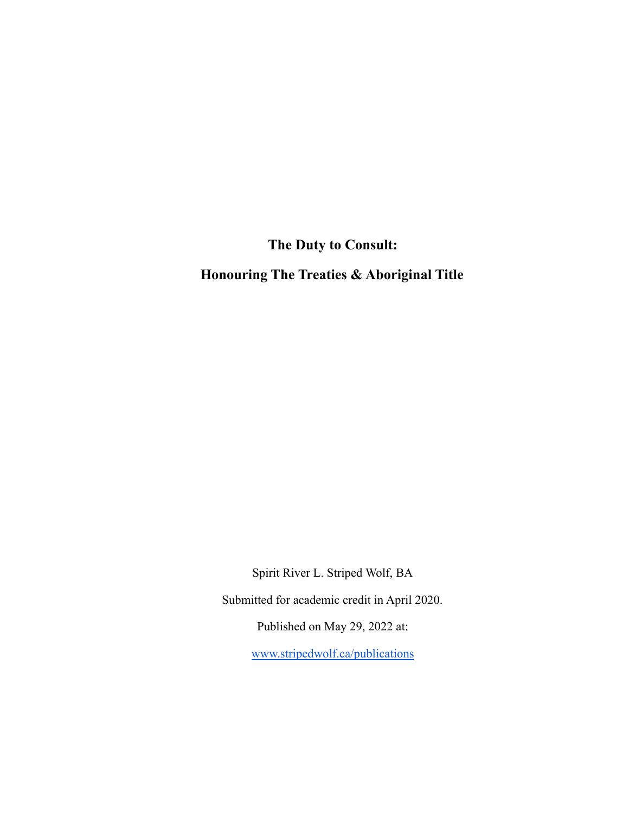**The Duty to Consult:**

**Honouring The Treaties & Aboriginal Title**

Spirit River L. Striped Wolf, BA Submitted for academic credit in April 2020. Published on May 29, 2022 at: [www.stripedwolf.ca/publications](http://www.stripedwolf.ca/publications)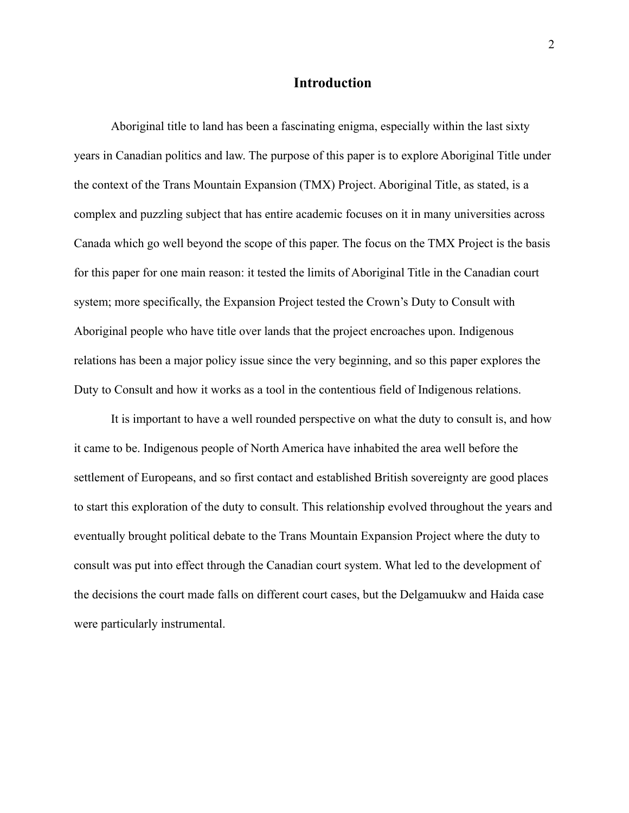## **Introduction**

Aboriginal title to land has been a fascinating enigma, especially within the last sixty years in Canadian politics and law. The purpose of this paper is to explore Aboriginal Title under the context of the Trans Mountain Expansion (TMX) Project. Aboriginal Title, as stated, is a complex and puzzling subject that has entire academic focuses on it in many universities across Canada which go well beyond the scope of this paper. The focus on the TMX Project is the basis for this paper for one main reason: it tested the limits of Aboriginal Title in the Canadian court system; more specifically, the Expansion Project tested the Crown's Duty to Consult with Aboriginal people who have title over lands that the project encroaches upon. Indigenous relations has been a major policy issue since the very beginning, and so this paper explores the Duty to Consult and how it works as a tool in the contentious field of Indigenous relations.

It is important to have a well rounded perspective on what the duty to consult is, and how it came to be. Indigenous people of North America have inhabited the area well before the settlement of Europeans, and so first contact and established British sovereignty are good places to start this exploration of the duty to consult. This relationship evolved throughout the years and eventually brought political debate to the Trans Mountain Expansion Project where the duty to consult was put into effect through the Canadian court system. What led to the development of the decisions the court made falls on different court cases, but the Delgamuukw and Haida case were particularly instrumental.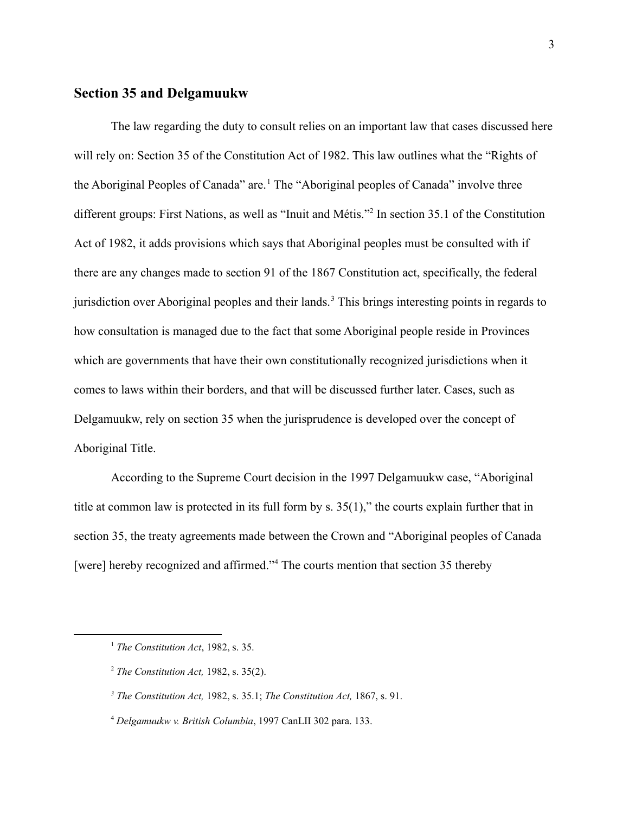#### **Section 35 and Delgamuukw**

The law regarding the duty to consult relies on an important law that cases discussed here will rely on: Section 35 of the Constitution Act of 1982. This law outlines what the "Rights of the Aboriginal Peoples of Canada" are.<sup>1</sup> The "Aboriginal peoples of Canada" involve three different groups: First Nations, as well as "Inuit and Métis."<sup>2</sup> In section 35.1 of the Constitution Act of 1982, it adds provisions which says that Aboriginal peoples must be consulted with if there are any changes made to section 91 of the 1867 Constitution act, specifically, the federal jurisdiction over Aboriginal peoples and their lands.<sup>3</sup> This brings interesting points in regards to how consultation is managed due to the fact that some Aboriginal people reside in Provinces which are governments that have their own constitutionally recognized jurisdictions when it comes to laws within their borders, and that will be discussed further later. Cases, such as Delgamuukw, rely on section 35 when the jurisprudence is developed over the concept of Aboriginal Title.

According to the Supreme Court decision in the 1997 Delgamuukw case, "Aboriginal title at common law is protected in its full form by s. 35(1)," the courts explain further that in section 35, the treaty agreements made between the Crown and "Aboriginal peoples of Canada [were] hereby recognized and affirmed."<sup>4</sup> The courts mention that section 35 thereby

<sup>1</sup> *The Constitution Act*, 1982, s. 35.

<sup>2</sup> *The Constitution Act,* 1982, s. 35(2).

*<sup>3</sup> The Constitution Act,* 1982, s. 35.1; *The Constitution Act,* 1867, s. 91.

<sup>4</sup> *Delgamuukw v. British Columbia*, 1997 CanLII 302 para. 133.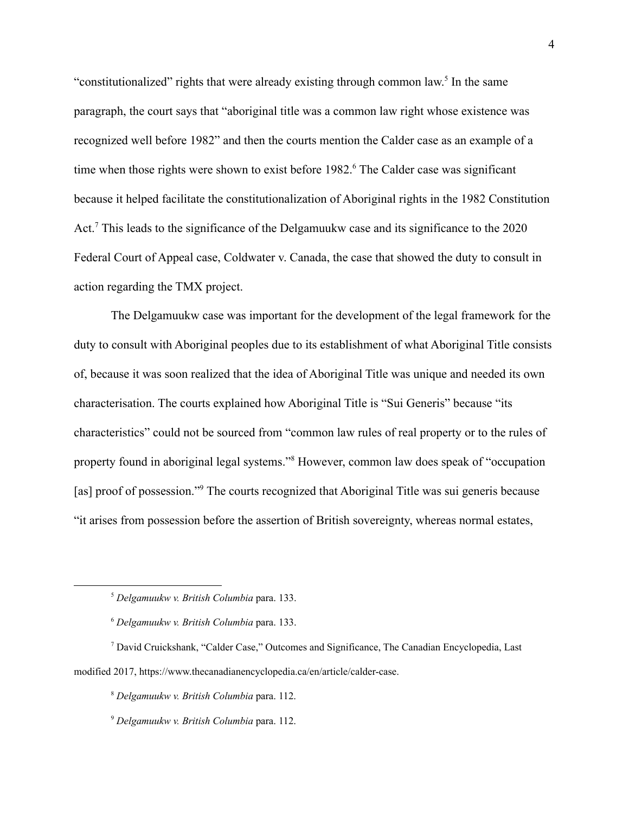"constitutionalized" rights that were already existing through common law.<sup>5</sup> In the same paragraph, the court says that "aboriginal title was a common law right whose existence was recognized well before 1982" and then the courts mention the Calder case as an example of a time when those rights were shown to exist before 1982.<sup>6</sup> The Calder case was significant because it helped facilitate the constitutionalization of Aboriginal rights in the 1982 Constitution Act.<sup>7</sup> This leads to the significance of the Delgamuukw case and its significance to the  $2020$ Federal Court of Appeal case, Coldwater v. Canada, the case that showed the duty to consult in action regarding the TMX project.

The Delgamuukw case was important for the development of the legal framework for the duty to consult with Aboriginal peoples due to its establishment of what Aboriginal Title consists of, because it was soon realized that the idea of Aboriginal Title was unique and needed its own characterisation. The courts explained how Aboriginal Title is "Sui Generis" because "its characteristics" could not be sourced from "common law rules of real property or to the rules of property found in aboriginal legal systems."<sup>8</sup> However, common law does speak of "occupation" [as] proof of possession."<sup>9</sup> The courts recognized that Aboriginal Title was sui generis because "it arises from possession before the assertion of British sovereignty, whereas normal estates,

<sup>5</sup> *Delgamuukw v. British Columbia* para. 133.

<sup>6</sup> *Delgamuukw v. British Columbia* para. 133.

<sup>7</sup> David Cruickshank, "Calder Case," Outcomes and Significance, The Canadian Encyclopedia, Last modified 2017, https://www.thecanadianencyclopedia.ca/en/article/calder-case.

<sup>8</sup> *Delgamuukw v. British Columbia* para. 112.

<sup>9</sup> *Delgamuukw v. British Columbia* para. 112.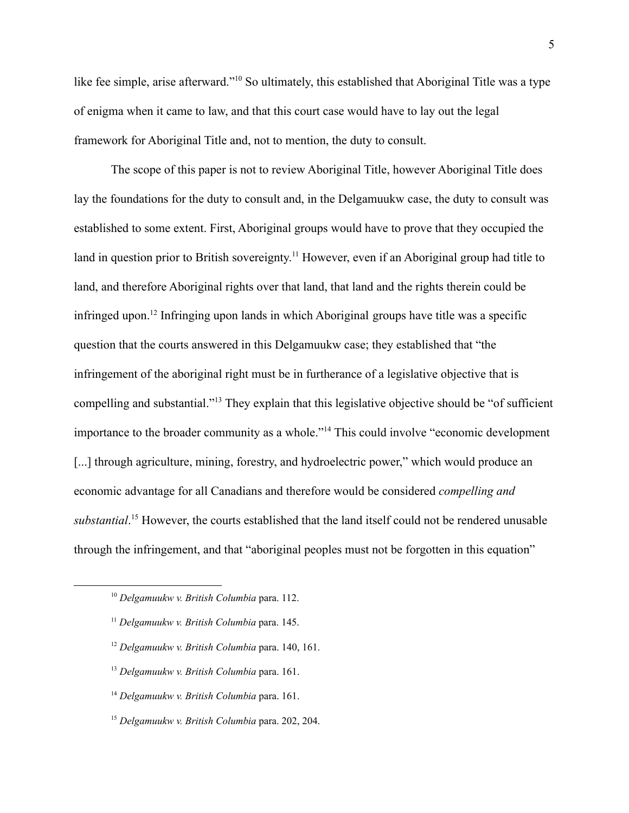like fee simple, arise afterward."<sup>10</sup> So ultimately, this established that Aboriginal Title was a type of enigma when it came to law, and that this court case would have to lay out the legal framework for Aboriginal Title and, not to mention, the duty to consult.

The scope of this paper is not to review Aboriginal Title, however Aboriginal Title does lay the foundations for the duty to consult and, in the Delgamuukw case, the duty to consult was established to some extent. First, Aboriginal groups would have to prove that they occupied the land in question prior to British sovereignty.<sup>11</sup> However, even if an Aboriginal group had title to land, and therefore Aboriginal rights over that land, that land and the rights therein could be infringed upon.<sup>12</sup> Infringing upon lands in which Aboriginal groups have title was a specific question that the courts answered in this Delgamuukw case; they established that "the infringement of the aboriginal right must be in furtherance of a legislative objective that is compelling and substantial."<sup>13</sup> They explain that this legislative objective should be "of sufficient" importance to the broader community as a whole."<sup>14</sup> This could involve "economic development [...] through agriculture, mining, forestry, and hydroelectric power," which would produce an economic advantage for all Canadians and therefore would be considered *compelling and substantial*.<sup>15</sup> However, the courts established that the land itself could not be rendered unusable through the infringement, and that "aboriginal peoples must not be forgotten in this equation"

- <sup>12</sup> *Delgamuukw v. British Columbia* para. 140, 161.
- <sup>13</sup> *Delgamuukw v. British Columbia* para. 161.
- <sup>14</sup> *Delgamuukw v. British Columbia* para. 161.
- <sup>15</sup> *Delgamuukw v. British Columbia* para. 202, 204.

<sup>10</sup> *Delgamuukw v. British Columbia* para. 112.

<sup>11</sup> *Delgamuukw v. British Columbia* para. 145.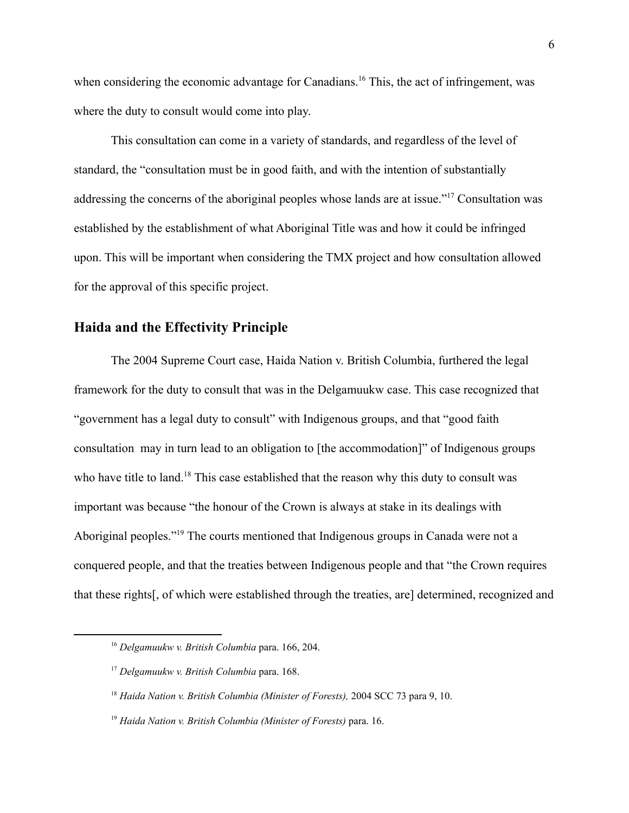when considering the economic advantage for Canadians.<sup>16</sup> This, the act of infringement, was where the duty to consult would come into play.

This consultation can come in a variety of standards, and regardless of the level of standard, the "consultation must be in good faith, and with the intention of substantially addressing the concerns of the aboriginal peoples whose lands are at issue."<sup>17</sup> Consultation was established by the establishment of what Aboriginal Title was and how it could be infringed upon. This will be important when considering the TMX project and how consultation allowed for the approval of this specific project.

#### **Haida and the Effectivity Principle**

The 2004 Supreme Court case, Haida Nation v. British Columbia, furthered the legal framework for the duty to consult that was in the Delgamuukw case. This case recognized that "government has a legal duty to consult" with Indigenous groups, and that "good faith consultation may in turn lead to an obligation to [the accommodation]" of Indigenous groups who have title to land.<sup>18</sup> This case established that the reason why this duty to consult was important was because "the honour of the Crown is always at stake in its dealings with Aboriginal peoples."<sup>19</sup> The courts mentioned that Indigenous groups in Canada were not a conquered people, and that the treaties between Indigenous people and that "the Crown requires that these rights[, of which were established through the treaties, are] determined, recognized and

<sup>16</sup> *Delgamuukw v. British Columbia* para. 166, 204.

<sup>17</sup> *Delgamuukw v. British Columbia* para. 168.

<sup>18</sup> *Haida Nation v. British Columbia (Minister of Forests),* 2004 SCC 73 para 9, 10.

<sup>19</sup> *Haida Nation v. British Columbia (Minister of Forests)* para. 16.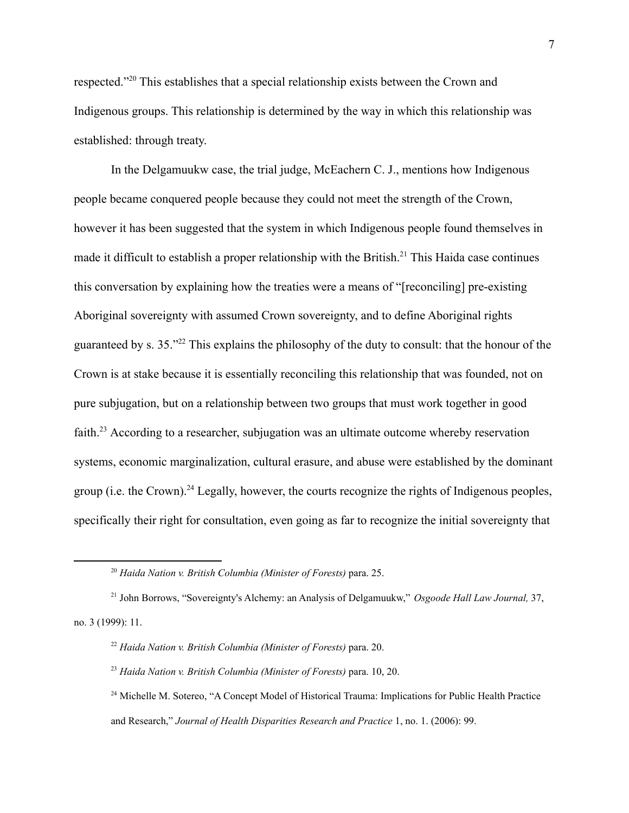respected."<sup>20</sup> This establishes that a special relationship exists between the Crown and Indigenous groups. This relationship is determined by the way in which this relationship was established: through treaty.

In the Delgamuukw case, the trial judge, McEachern C. J., mentions how Indigenous people became conquered people because they could not meet the strength of the Crown, however it has been suggested that the system in which Indigenous people found themselves in made it difficult to establish a proper relationship with the British.<sup>21</sup> This Haida case continues this conversation by explaining how the treaties were a means of "[reconciling] pre-existing Aboriginal sovereignty with assumed Crown sovereignty, and to define Aboriginal rights guaranteed by s.  $35.^{22}$  This explains the philosophy of the duty to consult: that the honour of the Crown is at stake because it is essentially reconciling this relationship that was founded, not on pure subjugation, but on a relationship between two groups that must work together in good faith.<sup>23</sup> According to a researcher, subjugation was an ultimate outcome whereby reservation systems, economic marginalization, cultural erasure, and abuse were established by the dominant group (i.e. the Crown).<sup>24</sup> Legally, however, the courts recognize the rights of Indigenous peoples, specifically their right for consultation, even going as far to recognize the initial sovereignty that

<sup>20</sup> *Haida Nation v. British Columbia (Minister of Forests)* para. 25.

<sup>21</sup> John Borrows, "Sovereignty's Alchemy: an Analysis of Delgamuukw," *Osgoode Hall Law Journal,* 37, no. 3 (1999): 11.

<sup>22</sup> *Haida Nation v. British Columbia (Minister of Forests)* para. 20.

<sup>23</sup> *Haida Nation v. British Columbia (Minister of Forests)* para. 10, 20.

<sup>&</sup>lt;sup>24</sup> Michelle M. Sotereo, "A Concept Model of Historical Trauma: Implications for Public Health Practice and Research," *Journal of Health Disparities Research and Practice* 1, no. 1. (2006): 99.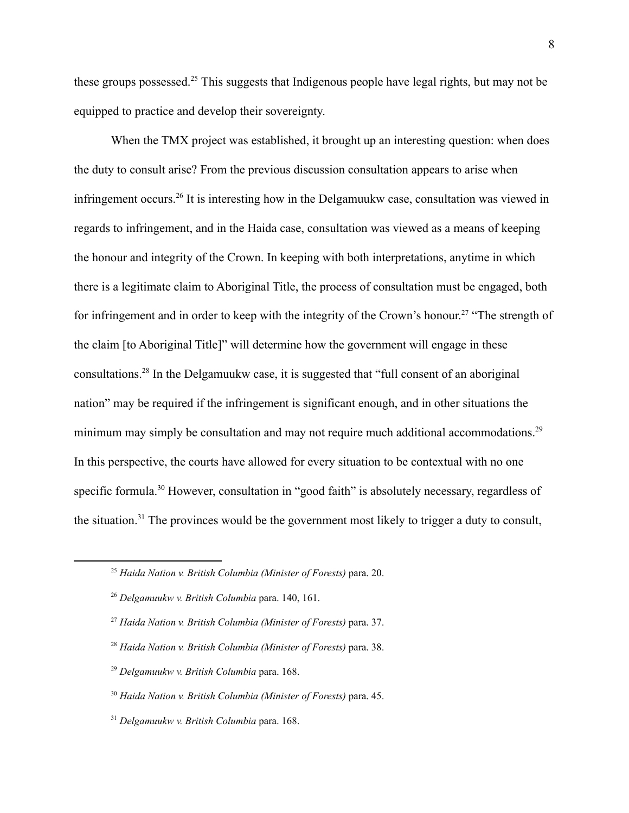these groups possessed.<sup>25</sup> This suggests that Indigenous people have legal rights, but may not be equipped to practice and develop their sovereignty.

When the TMX project was established, it brought up an interesting question: when does the duty to consult arise? From the previous discussion consultation appears to arise when infringement occurs.<sup>26</sup> It is interesting how in the Delgamuukw case, consultation was viewed in regards to infringement, and in the Haida case, consultation was viewed as a means of keeping the honour and integrity of the Crown. In keeping with both interpretations, anytime in which there is a legitimate claim to Aboriginal Title, the process of consultation must be engaged, both for infringement and in order to keep with the integrity of the Crown's honour.<sup>27</sup> "The strength of the claim [to Aboriginal Title]" will determine how the government will engage in these consultations.<sup>28</sup> In the Delgamuukw case, it is suggested that "full consent of an aboriginal nation" may be required if the infringement is significant enough, and in other situations the minimum may simply be consultation and may not require much additional accommodations.<sup>29</sup> In this perspective, the courts have allowed for every situation to be contextual with no one specific formula.<sup>30</sup> However, consultation in "good faith" is absolutely necessary, regardless of the situation.<sup>31</sup> The provinces would be the government most likely to trigger a duty to consult,

- <sup>28</sup> *Haida Nation v. British Columbia (Minister of Forests)* para. 38.
- <sup>29</sup> *Delgamuukw v. British Columbia* para. 168.
- <sup>30</sup> *Haida Nation v. British Columbia (Minister of Forests)* para. 45.
- <sup>31</sup> *Delgamuukw v. British Columbia* para. 168.

<sup>25</sup> *Haida Nation v. British Columbia (Minister of Forests)* para. 20.

<sup>26</sup> *Delgamuukw v. British Columbia* para. 140, 161.

<sup>27</sup> *Haida Nation v. British Columbia (Minister of Forests)* para. 37.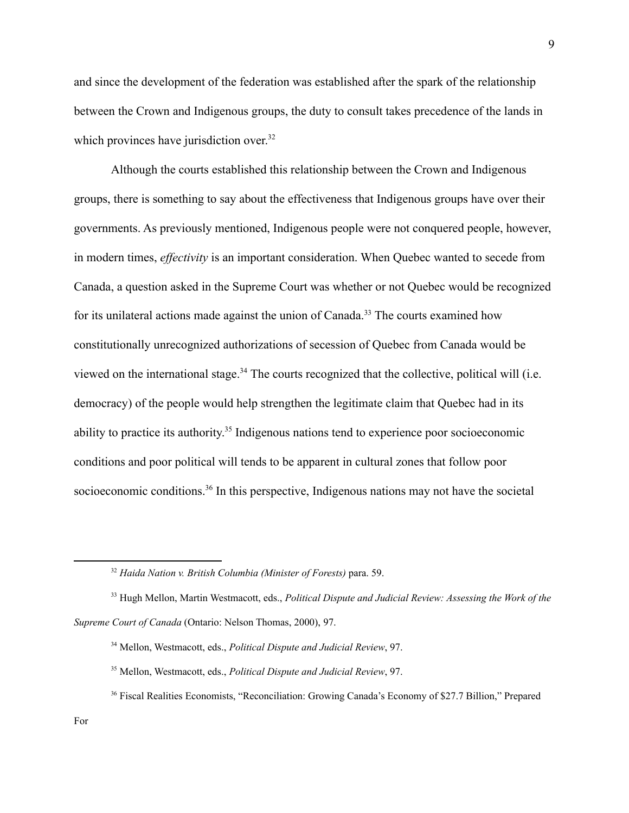and since the development of the federation was established after the spark of the relationship between the Crown and Indigenous groups, the duty to consult takes precedence of the lands in which provinces have jurisdiction over.<sup>32</sup>

Although the courts established this relationship between the Crown and Indigenous groups, there is something to say about the effectiveness that Indigenous groups have over their governments. As previously mentioned, Indigenous people were not conquered people, however, in modern times, *effectivity* is an important consideration. When Quebec wanted to secede from Canada, a question asked in the Supreme Court was whether or not Quebec would be recognized for its unilateral actions made against the union of Canada.<sup>33</sup> The courts examined how constitutionally unrecognized authorizations of secession of Quebec from Canada would be viewed on the international stage.<sup>34</sup> The courts recognized that the collective, political will (i.e. democracy) of the people would help strengthen the legitimate claim that Quebec had in its ability to practice its authority.<sup>35</sup> Indigenous nations tend to experience poor socioeconomic conditions and poor political will tends to be apparent in cultural zones that follow poor socioeconomic conditions.<sup>36</sup> In this perspective, Indigenous nations may not have the societal

<sup>32</sup> *Haida Nation v. British Columbia (Minister of Forests)* para. 59.

<sup>33</sup> Hugh Mellon, Martin Westmacott, eds., *Political Dispute and Judicial Review: Assessing the Work of the Supreme Court of Canada* (Ontario: Nelson Thomas, 2000), 97.

<sup>34</sup> Mellon, Westmacott, eds., *Political Dispute and Judicial Review*, 97.

<sup>35</sup> Mellon, Westmacott, eds., *Political Dispute and Judicial Review*, 97.

<sup>&</sup>lt;sup>36</sup> Fiscal Realities Economists, "Reconciliation: Growing Canada's Economy of \$27.7 Billion," Prepared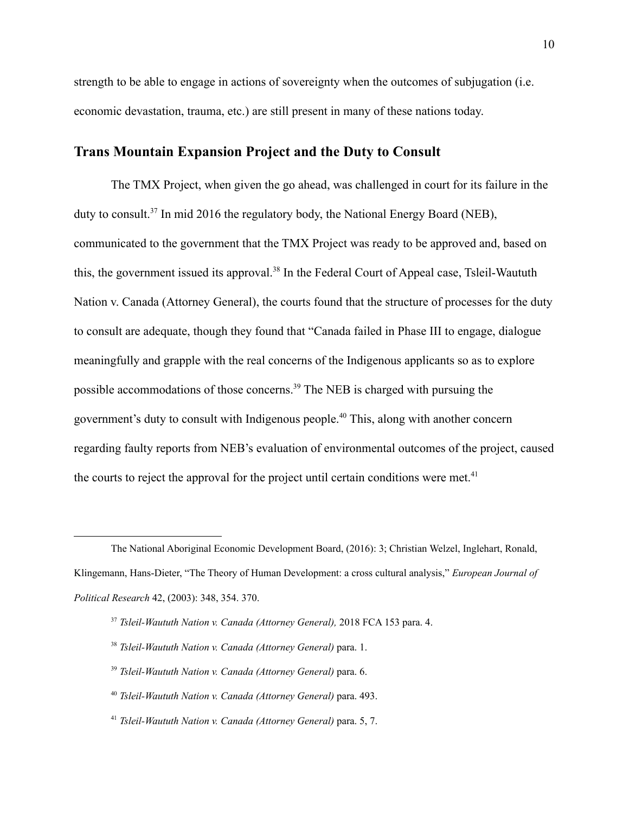strength to be able to engage in actions of sovereignty when the outcomes of subjugation (i.e. economic devastation, trauma, etc.) are still present in many of these nations today.

# **Trans Mountain Expansion Project and the Duty to Consult**

The TMX Project, when given the go ahead, was challenged in court for its failure in the duty to consult.<sup>37</sup> In mid 2016 the regulatory body, the National Energy Board (NEB), communicated to the government that the TMX Project was ready to be approved and, based on this, the government issued its approval.<sup>38</sup> In the Federal Court of Appeal case, Tsleil-Waututh Nation v. Canada (Attorney General), the courts found that the structure of processes for the duty to consult are adequate, though they found that "Canada failed in Phase III to engage, dialogue meaningfully and grapple with the real concerns of the Indigenous applicants so as to explore possible accommodations of those concerns.<sup> $39$ </sup> The NEB is charged with pursuing the government's duty to consult with Indigenous people.<sup>40</sup> This, along with another concern regarding faulty reports from NEB's evaluation of environmental outcomes of the project, caused the courts to reject the approval for the project until certain conditions were met. $41$ 

The National Aboriginal Economic Development Board, (2016): 3; Christian Welzel, Inglehart, Ronald, Klingemann, Hans-Dieter, "The Theory of Human Development: a cross cultural analysis," *European Journal of Political Research* 42, (2003): 348, 354. 370.

<sup>37</sup> *Tsleil-Waututh Nation v. Canada (Attorney General),* 2018 FCA 153 para. 4.

<sup>38</sup> *Tsleil-Waututh Nation v. Canada (Attorney General)* para. 1.

<sup>39</sup> *Tsleil-Waututh Nation v. Canada (Attorney General)* para. 6.

<sup>40</sup> *Tsleil-Waututh Nation v. Canada (Attorney General)* para. 493.

<sup>41</sup> *Tsleil-Waututh Nation v. Canada (Attorney General)* para. 5, 7.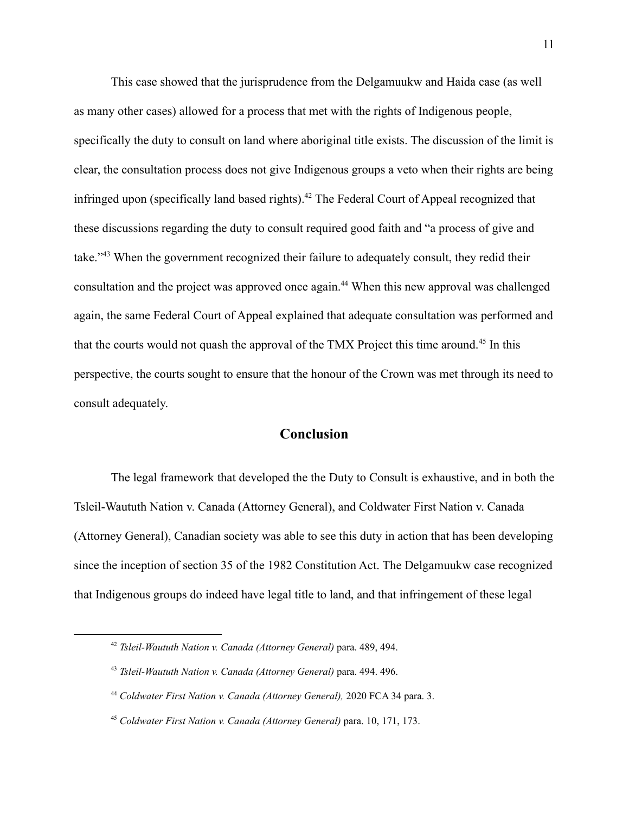This case showed that the jurisprudence from the Delgamuukw and Haida case (as well as many other cases) allowed for a process that met with the rights of Indigenous people, specifically the duty to consult on land where aboriginal title exists. The discussion of the limit is clear, the consultation process does not give Indigenous groups a veto when their rights are being infringed upon (specifically land based rights).  $42$  The Federal Court of Appeal recognized that these discussions regarding the duty to consult required good faith and "a process of give and take."<sup>43</sup> When the government recognized their failure to adequately consult, they redid their consultation and the project was approved once again.<sup>44</sup> When this new approval was challenged again, the same Federal Court of Appeal explained that adequate consultation was performed and that the courts would not quash the approval of the TMX Project this time around.<sup>45</sup> In this perspective, the courts sought to ensure that the honour of the Crown was met through its need to consult adequately.

# **Conclusion**

The legal framework that developed the the Duty to Consult is exhaustive, and in both the Tsleil-Waututh Nation v. Canada (Attorney General), and Coldwater First Nation v. Canada (Attorney General), Canadian society was able to see this duty in action that has been developing since the inception of section 35 of the 1982 Constitution Act. The Delgamuukw case recognized that Indigenous groups do indeed have legal title to land, and that infringement of these legal

<sup>42</sup> *Tsleil-Waututh Nation v. Canada (Attorney General)* para. 489, 494.

<sup>43</sup> *Tsleil-Waututh Nation v. Canada (Attorney General)* para. 494. 496.

<sup>44</sup> *Coldwater First Nation v. Canada (Attorney General),* 2020 FCA 34 para. 3.

<sup>45</sup> *Coldwater First Nation v. Canada (Attorney General)* para. 10, 171, 173.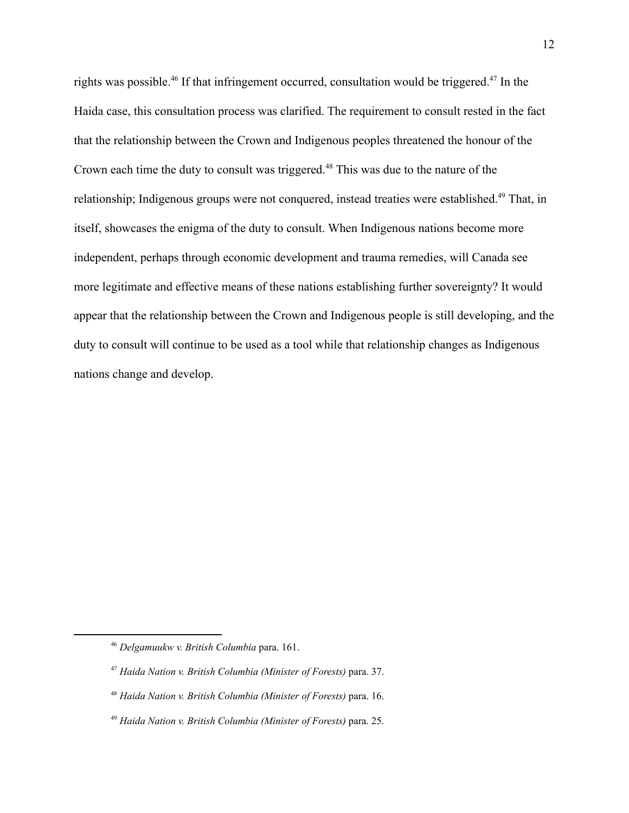rights was possible.<sup>46</sup> If that infringement occurred, consultation would be triggered.<sup>47</sup> In the Haida case, this consultation process was clarified. The requirement to consult rested in the fact that the relationship between the Crown and Indigenous peoples threatened the honour of the Crown each time the duty to consult was triggered.<sup>48</sup> This was due to the nature of the relationship; Indigenous groups were not conquered, instead treaties were established.<sup>49</sup> That, in itself, showcases the enigma of the duty to consult. When Indigenous nations become more independent, perhaps through economic development and trauma remedies, will Canada see more legitimate and effective means of these nations establishing further sovereignty? It would appear that the relationship between the Crown and Indigenous people is still developing, and the duty to consult will continue to be used as a tool while that relationship changes as Indigenous nations change and develop.

<sup>46</sup> *Delgamuukw v. British Columbia* para. 161.

<sup>47</sup> *Haida Nation v. British Columbia (Minister of Forests)* para. 37.

<sup>48</sup> *Haida Nation v. British Columbia (Minister of Forests)* para. 16.

<sup>49</sup> *Haida Nation v. British Columbia (Minister of Forests)* para. 25.